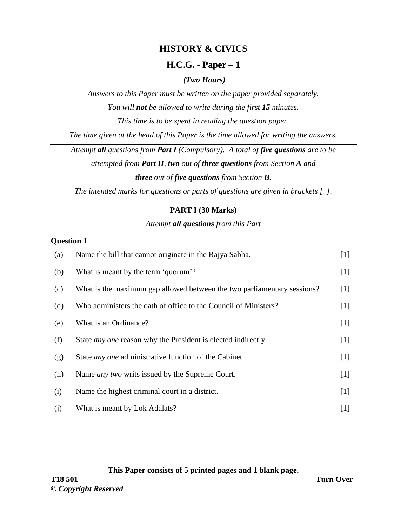# **HISTORY & CIVICS**

# **H.C.G. - Paper – 1**

# *(Two Hours)*

*Answers to this Paper must be written on the paper provided separately.*

*You will not be allowed to write during the first 15 minutes.*

*This time is to be spent in reading the question paper.*

*The time given at the head of this Paper is the time allowed for writing the answers.*

*Attempt all questions from Part I (Compulsory). A total of five questions are to be*

*attempted from Part II, two out of three questions from Section A and three out of five questions from Section B.*

*The intended marks for questions or parts of questions are given in brackets [ ].*

# **PART I (30 Marks)**

# *Attempt all questions from this Part*

# **Question 1**

| (a) | Name the bill that cannot originate in the Rajya Sabha.                 | $[1]$ |
|-----|-------------------------------------------------------------------------|-------|
| (b) | What is meant by the term 'quorum'?                                     | $[1]$ |
| (c) | What is the maximum gap allowed between the two parliamentary sessions? | $[1]$ |
| (d) | Who administers the oath of office to the Council of Ministers?         | $[1]$ |
| (e) | What is an Ordinance?                                                   | $[1]$ |
| (f) | State <i>any one</i> reason why the President is elected indirectly.    | $[1]$ |
| (g) | State <i>any one</i> administrative function of the Cabinet.            | $[1]$ |
| (h) | Name <i>any two</i> writs issued by the Supreme Court.                  | $[1]$ |
| (i) | Name the highest criminal court in a district.                          | $[1]$ |
| (j) | What is meant by Lok Adalats?                                           | $[1]$ |

**This Paper consists of 5 printed pages and 1 blank page.**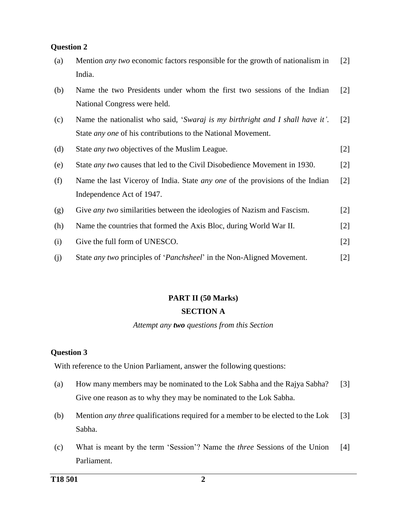| (a) | Mention <i>any two</i> economic factors responsible for the growth of nationalism in<br>India. | $\lceil 2 \rceil$ |
|-----|------------------------------------------------------------------------------------------------|-------------------|
| (b) | Name the two Presidents under whom the first two sessions of the Indian                        | $\lceil 2 \rceil$ |
|     | National Congress were held.                                                                   |                   |
| (c) | Name the nationalist who said, 'Swaraj is my birthright and I shall have it'.                  | $\lceil 2 \rceil$ |
|     | State <i>any one</i> of his contributions to the National Movement.                            |                   |
| (d) | State <i>any two</i> objectives of the Muslim League.                                          | $[2]$             |
| (e) | State <i>any two</i> causes that led to the Civil Disobedience Movement in 1930.               | $[2]$             |
| (f) | Name the last Viceroy of India. State <i>any one</i> of the provisions of the Indian           | $\lceil 2 \rceil$ |
|     | Independence Act of 1947.                                                                      |                   |
| (g) | Give <i>any two</i> similarities between the ideologies of Nazism and Fascism.                 | $\lceil 2 \rceil$ |
| (h) | Name the countries that formed the Axis Bloc, during World War II.                             | $[2]$             |
| (i) | Give the full form of UNESCO.                                                                  | $[2]$             |
| (j) | State <i>any two</i> principles of ' <i>Panchsheel</i> ' in the Non-Aligned Movement.          | $[2]$             |

# **PART II (50 Marks) SECTION A**

#### *Attempt any two questions from this Section*

#### **Question 3**

With reference to the Union Parliament, answer the following questions:

- (a) How many members may be nominated to the Lok Sabha and the Rajya Sabha? Give one reason as to why they may be nominated to the Lok Sabha. [3]
- (b) Mention *any three* qualifications required for a member to be elected to the Lok Sabha. [3]
- (c) What is meant by the term 'Session'? Name the *three* Sessions of the Union Parliament. [4]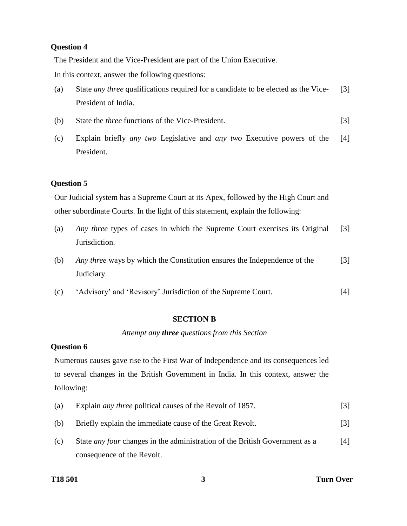The President and the Vice-President are part of the Union Executive.

In this context, answer the following questions:

- (a) State *any three* qualifications required for a candidate to be elected as the Vice-President of India. [3]
- (b) State the *three* functions of the Vice-President. [3]
- (c) Explain briefly *any two* Legislative and *any two* Executive powers of the President. [4]

## **Question 5**

Our Judicial system has a Supreme Court at its Apex, followed by the High Court and other subordinate Courts. In the light of this statement, explain the following:

- (a) *Any three* types of cases in which the Supreme Court exercises its Original Jurisdiction. [3]
- (b) *Any three* ways by which the Constitution ensures the Independence of the Judiciary. [3]
- (c) 'Advisory' and 'Revisory' Jurisdiction of the Supreme Court. [4]

## **SECTION B**

## *Attempt any three questions from this Section*

## **Question 6**

Numerous causes gave rise to the First War of Independence and its consequences led to several changes in the British Government in India. In this context, answer the following:

| (a) | Explain <i>any three</i> political causes of the Revolt of 1857.                   | $\lceil 3 \rceil$ |
|-----|------------------------------------------------------------------------------------|-------------------|
| (b) | Briefly explain the immediate cause of the Great Revolt.                           | $\lceil 3 \rceil$ |
| (c) | State <i>any four</i> changes in the administration of the British Government as a | [4]               |

consequence of the Revolt.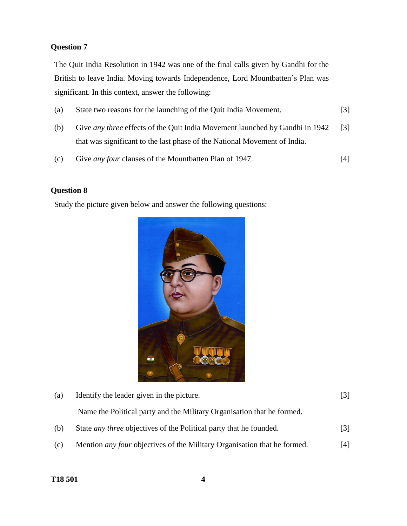The Quit India Resolution in 1942 was one of the final calls given by Gandhi for the British to leave India. Moving towards Independence, Lord Mountbatten's Plan was significant. In this context, answer the following:

- (a) State two reasons for the launching of the Quit India Movement. [3]
- (b) Give *any three* effects of the Quit India Movement launched by Gandhi in 1942 that was significant to the last phase of the National Movement of India. [3]
- (c) Give *any four* clauses of the Mountbatten Plan of 1947. [4]

## **Question 8**

Study the picture given below and answer the following questions:



| (a) | Identify the leader given in the picture.                                 |     |
|-----|---------------------------------------------------------------------------|-----|
|     | Name the Political party and the Military Organisation that he formed.    |     |
| (b) | State <i>any three</i> objectives of the Political party that he founded. | [3] |
|     |                                                                           |     |

(c) Mention *any four* objectives of the Military Organisation that he formed. [4]